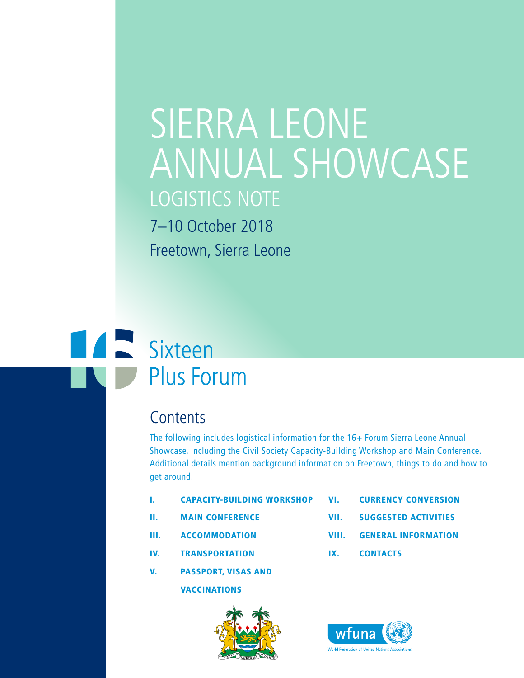# SIERRA LEONE ANNUAL SHOWCASE LOGISTICS NOTE 7–10 October 2018 Freetown, Sierra Leone

# **TAN Sixteen Plus Forum**

# **Contents**

The following includes logistical information for the 16+ Forum Sierra Leone Annual Showcase, including the Civil Society Capacity-Building Workshop and Main Conference. Additional details mention background information on Freetown, things to do and how to get around.

- I. CAPACITY-BUILDING WORKSHOP
- II. MAIN CONFERENCE
- III. ACCOMMODATION
- IV. TRANSPORTATION
- V. PASSPORT, VISAS AND

**VACCINATIONS** 



- VI. CURRENCY CONVERSION
- VII. SUGGESTED ACTIVITIES
- VIII. GENERAL INFORMATION
- IX. CONTACTS

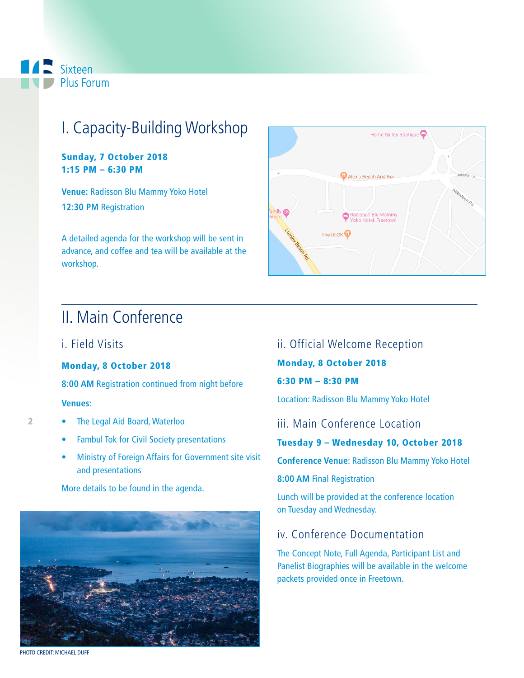### **A** Sixteen Plus Forum

# I. Capacity-Building Workshop

Sunday, 7 October 2018 1:15 PM – 6:30 PM

**Venue:** Radisson Blu Mammy Yoko Hotel **12:30 PM** Registration

A detailed agenda for the workshop will be sent in advance, and coffee and tea will be available at the workshop.

# II. Main Conference

#### i. Field Visits

#### Monday, 8 October 2018

**8:00 AM** Registration continued from night before

#### **Venues**:

2

- The Legal Aid Board, Waterloo
- Fambul Tok for Civil Society presentations
- Ministry of Foreign Affairs for Government site visit and presentations

More details to be found in the agenda.





Home Suites Boutique

#### ii. Official Welcome Reception

Monday, 8 October 2018

6:30 PM – 8:30 PM

Location: Radisson Blu Mammy Yoko Hotel

iii. Main Conference Location

#### Tuesday 9 – Wednesday 10, October 2018

**Conference Venue**: Radisson Blu Mammy Yoko Hotel

**8:00 AM** Final Registration

Lunch will be provided at the conference location on Tuesday and Wednesday.

#### iv. Conference Documentation

The Concept Note, Full Agenda, Participant List and Panelist Biographies will be available in the welcome packets provided once in Freetown.

PHOTO CREDIT: MICHAEL DUFF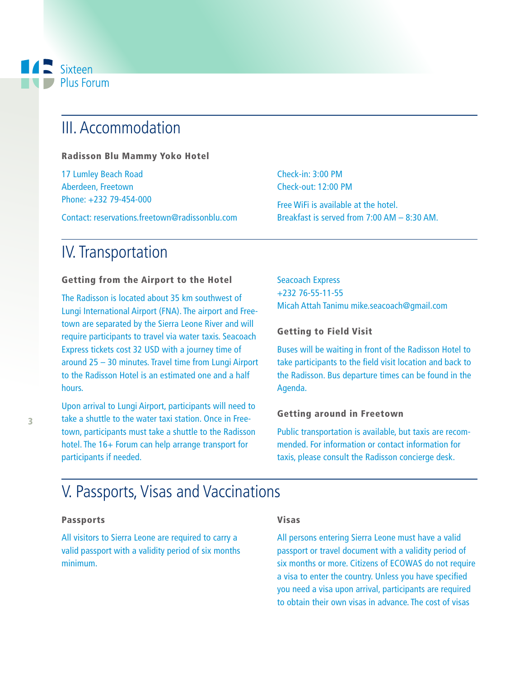### Sixteen Plus Forum

# III. Accommodation

Radisson Blu Mammy Yoko Hotel

17 Lumley Beach Road Aberdeen, Freetown Phone: +232 79-454-000

Contact: reservations.freetown@radissonblu.com

### IV. Transportation

#### Getting from the Airport to the Hotel

The Radisson is located about 35 km southwest of Lungi International Airport (FNA). The airport and Freetown are separated by the Sierra Leone River and will require participants to travel via water taxis. Seacoach Express tickets cost 32 USD with a journey time of around 25 – 30 minutes. Travel time from Lungi Airport to the Radisson Hotel is an estimated one and a half hours.

Upon arrival to Lungi Airport, participants will need to take a shuttle to the water taxi station. Once in Freetown, participants must take a shuttle to the Radisson hotel. The 16+ Forum can help arrange transport for participants if needed.

Check-in: 3:00 PM Check-out: 12:00 PM

Free WiFi is available at the hotel. Breakfast is served from 7:00 AM – 8:30 AM.

Seacoach Express +232 76-55-11-55 Micah Attah Tanimu mike.seacoach@gmail.com

#### Getting to Field Visit

Buses will be waiting in front of the Radisson Hotel to take participants to the field visit location and back to the Radisson. Bus departure times can be found in the Agenda.

#### Getting around in Freetown

Public transportation is available, but taxis are recommended. For information or contact information for taxis, please consult the Radisson concierge desk.

# V. Passports, Visas and Vaccinations

#### Passports

All visitors to Sierra Leone are required to carry a valid passport with a validity period of six months minimum.

#### Visas

All persons entering Sierra Leone must have a valid passport or travel document with a validity period of six months or more. Citizens of ECOWAS do not require a visa to enter the country. Unless you have specified you need a visa upon arrival, participants are required to obtain their own visas in advance. The cost of visas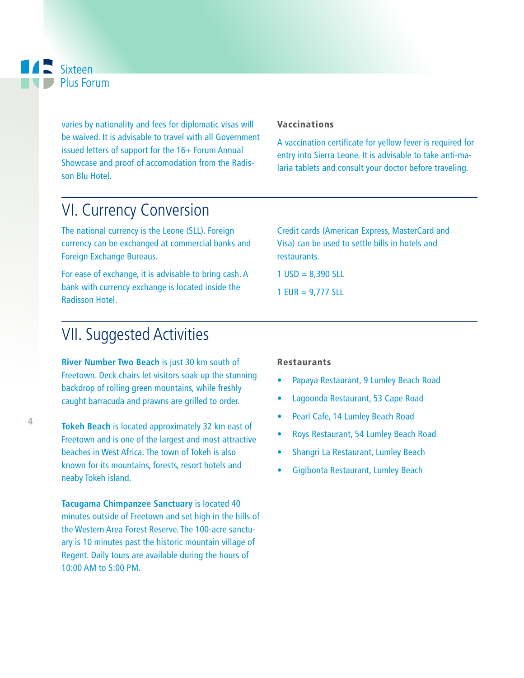varies by nationality and fees for diplomatic visas will be waived. It is advisable to travel with all Government issued letters of support for the 16+ Forum Annual Showcase and proof of accomodation from the Radisson Blu Hotel.

# VI. Currency Conversion

The national currency is the Leone (SLL). Foreign currency can be exchanged at commercial banks and Foreign Exchange Bureaus.

For ease of exchange, it is advisable to bring cash. A bank with currency exchange is located inside the Radisson Hotel.

# VII. Suggested Activities

**River Number Two Beach** is just 30 km south of Freetown. Deck chairs let visitors soak up the stunning backdrop of rolling green mountains, while freshly caught barracuda and prawns are grilled to order.

**Tokeh Beach** is located approximately 32 km east of Freetown and is one of the largest and most attractive beaches in West Africa. The town of Tokeh is also known for its mountains, forests, resort hotels and neaby Tokeh island.

**Tacugama Chimpanzee Sanctuary** is located 40 minutes outside of Freetown and set high in the hills of the Western Area Forest Reserve. The 100-acre sanctuary is 10 minutes past the historic mountain village of Regent. Daily tours are available during the hours of 10:00 AM to 5:00 PM.

#### Vaccinations

A vaccination certificate for yellow fever is required for entry into Sierra Leone. It is advisable to take anti-malaria tablets and consult your doctor before traveling.

Credit cards (American Express, MasterCard and Visa) can be used to settle bills in hotels and restaurants.

 $1$  USD = 8,390 SLL 1 EUR = 9,777 SLL

Restaurants

- Papaya Restaurant, 9 Lumley Beach Road
- Lagoonda Restaurant, 53 Cape Road
- Pearl Cafe, 14 Lumley Beach Road
- Roys Restaurant, 54 Lumley Beach Road
- Shangri La Restaurant, Lumley Beach
- Gigibonta Restaurant, Lumley Beach